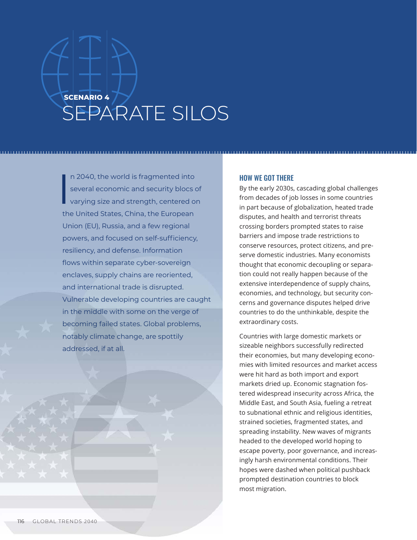## **SCENARIO 4** SEPARATE SILOS

I n 2040, the world is fragmented into several economic and security blocs of varying size and strength, centered on the United States, China, the European Union (EU), Russia, and a few regional powers, and focused on self-sufficiency, resiliency, and defense. Information flows within separate cyber-sovereign enclaves, supply chains are reoriented, and international trade is disrupted. Vulnerable developing countries are caught in the middle with some on the verge of becoming failed states. Global problems, notably climate change, are spottily addressed, if at all.

## HOW WE GOT THERE

By the early 2030s, cascading global challenges from decades of job losses in some countries in part because of globalization, heated trade disputes, and health and terrorist threats crossing borders prompted states to raise barriers and impose trade restrictions to conserve resources, protect citizens, and preserve domestic industries. Many economists thought that economic decoupling or separation could not really happen because of the extensive interdependence of supply chains, economies, and technology, but security concerns and governance disputes helped drive countries to do the unthinkable, despite the extraordinary costs.

Countries with large domestic markets or sizeable neighbors successfully redirected their economies, but many developing economies with limited resources and market access were hit hard as both import and export markets dried up. Economic stagnation fostered widespread insecurity across Africa, the Middle East, and South Asia, fueling a retreat to subnational ethnic and religious identities, strained societies, fragmented states, and spreading instability. New waves of migrants headed to the developed world hoping to escape poverty, poor governance, and increasingly harsh environmental conditions. Their hopes were dashed when political pushback prompted destination countries to block most migration.